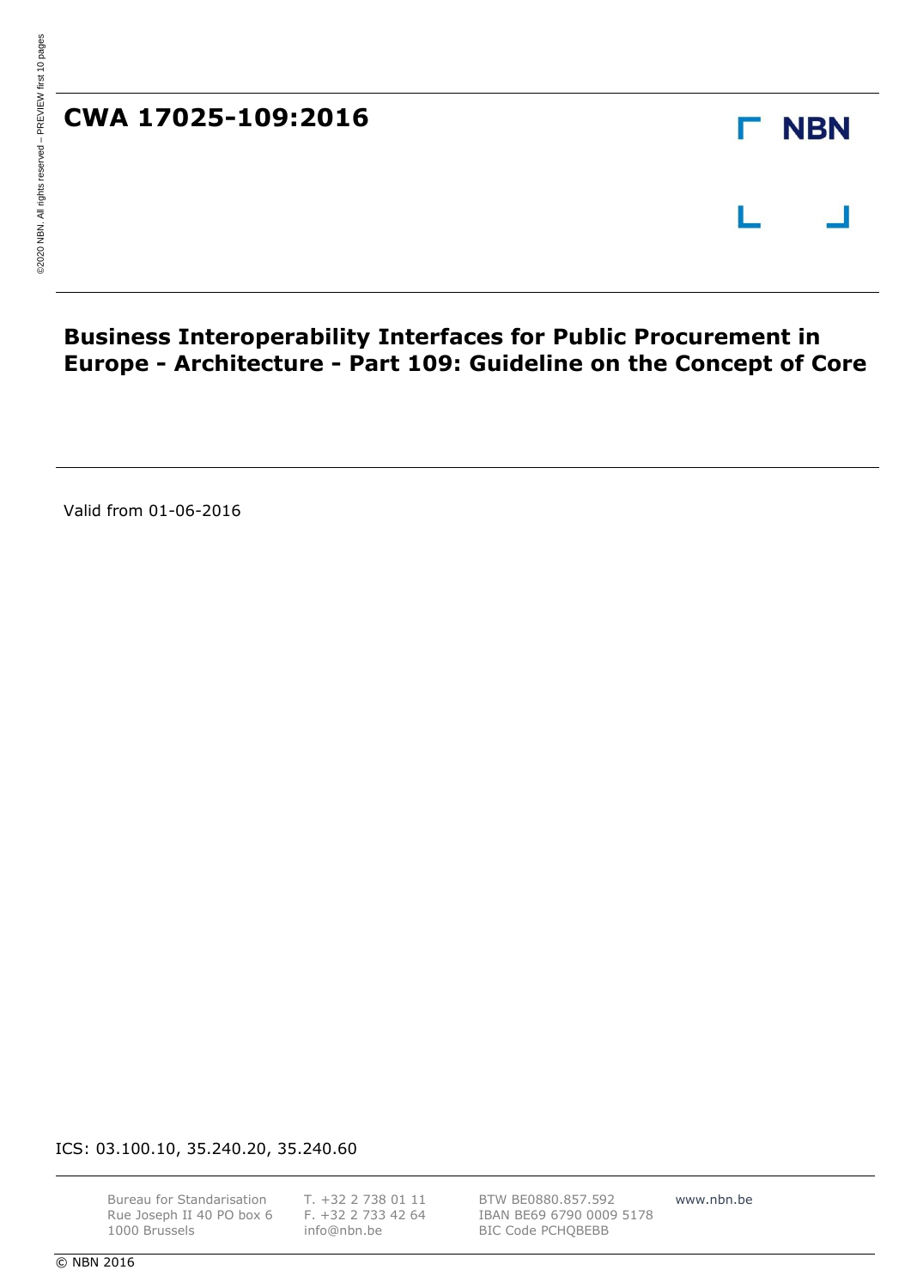# **CWA 17025-109:2016**



## **Business Interoperability Interfaces for Public Procurement in Europe - Architecture - Part 109: Guideline on the Concept of Core**

Valid from 01-06-2016

ICS: 03.100.10, 35.240.20, 35.240.60

Bureau for Standarisation Rue Joseph II 40 PO box 6 1000 Brussels

T. +32 2 738 01 11 F. +32 2 733 42 64 [info@nbn.be](mailto:info@nbn.be)

BTW BE0880.857.592 IBAN BE69 6790 0009 5178 BIC Code PCHQBEBB

www.nbn.be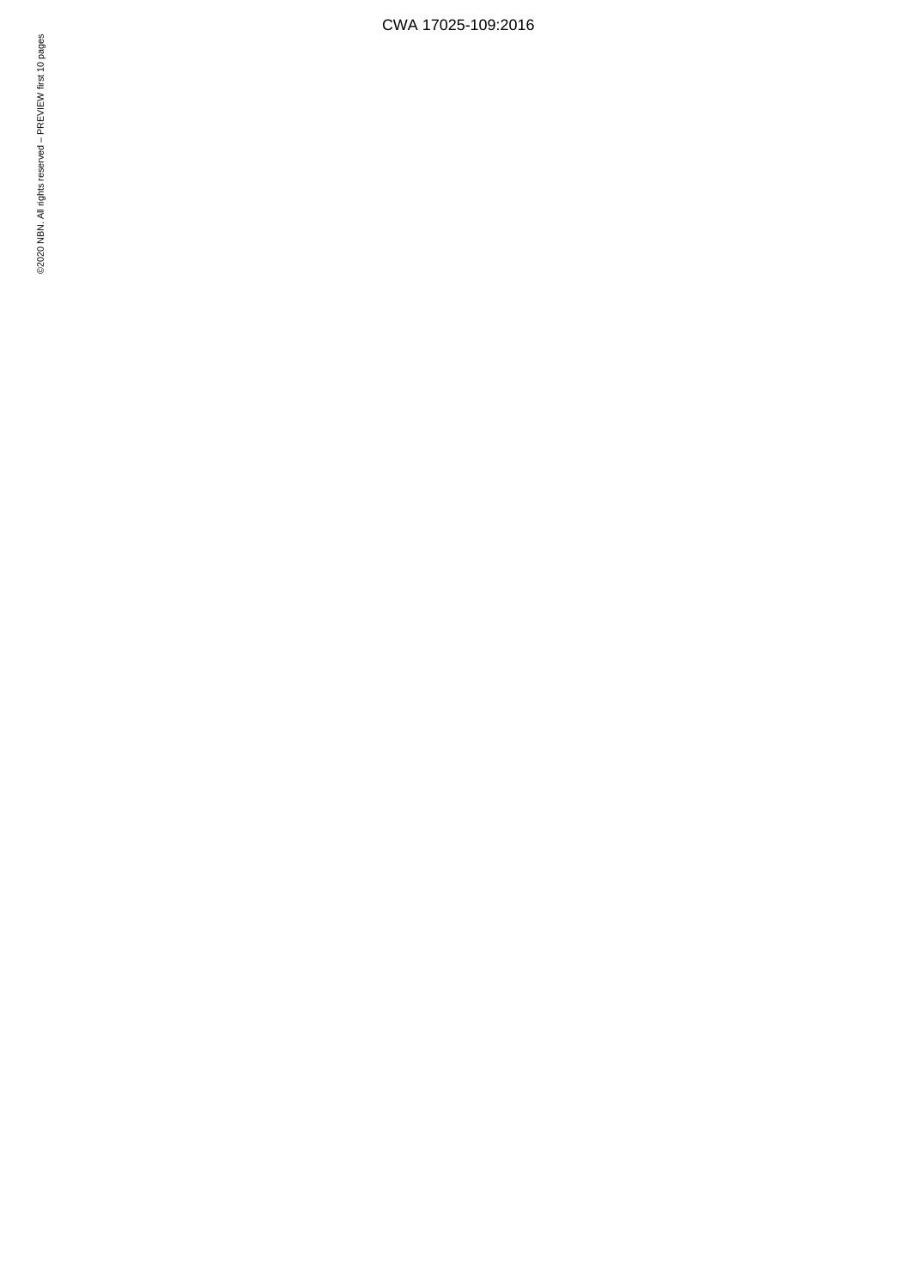CWA 17025-109:2016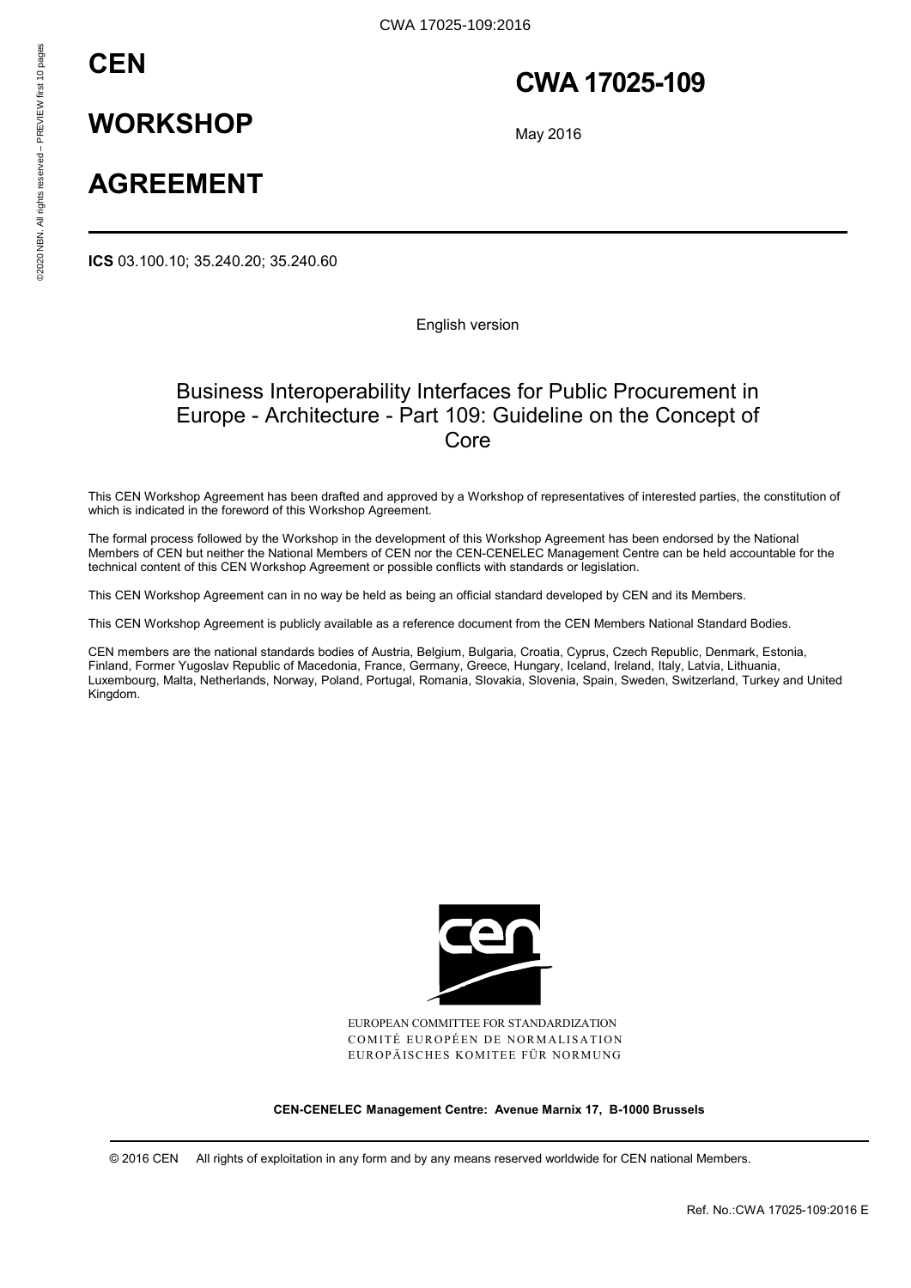# **CWA 17025-109**

May 2016

# **AGREEMENT**

**ICS** 03.100.10; 35.240.20; 35.240.60

English version

## Business Interoperability Interfaces for Public Procurement in Europe - Architecture - Part 109: Guideline on the Concept of Core

This CEN Workshop Agreement has been drafted and approved by a Workshop of representatives of interested parties, the constitution of which is indicated in the foreword of this Workshop Agreement.

The formal process followed by the Workshop in the development of this Workshop Agreement has been endorsed by the National Members of CEN but neither the National Members of CEN nor the CEN-CENELEC Management Centre can be held accountable for the technical content of this CEN Workshop Agreement or possible conflicts with standards or legislation.

This CEN Workshop Agreement can in no way be held as being an official standard developed by CEN and its Members.

This CEN Workshop Agreement is publicly available as a reference document from the CEN Members National Standard Bodies.

CEN members are the national standards bodies of Austria, Belgium, Bulgaria, Croatia, Cyprus, Czech Republic, Denmark, Estonia, Finland, Former Yugoslav Republic of Macedonia, France, Germany, Greece, Hungary, Iceland, Ireland, Italy, Latvia, Lithuania, Luxembourg, Malta, Netherlands, Norway, Poland, Portugal, Romania, Slovakia, Slovenia, Spain, Sweden, Switzerland, Turkey and United Kingdom.



EUROPEAN COMMITTEE FOR STANDARDIZATION COMITÉ EUROPÉEN DE NORMALISATION EUROPÄISCHES KOMITEE FÜR NORMUNG

**CEN-CENELEC Management Centre: Avenue Marnix 17, B-1000 Brussels** 

© 2016 CEN All rights of exploitation in any form and by any means reserved worldwide for CEN national Members.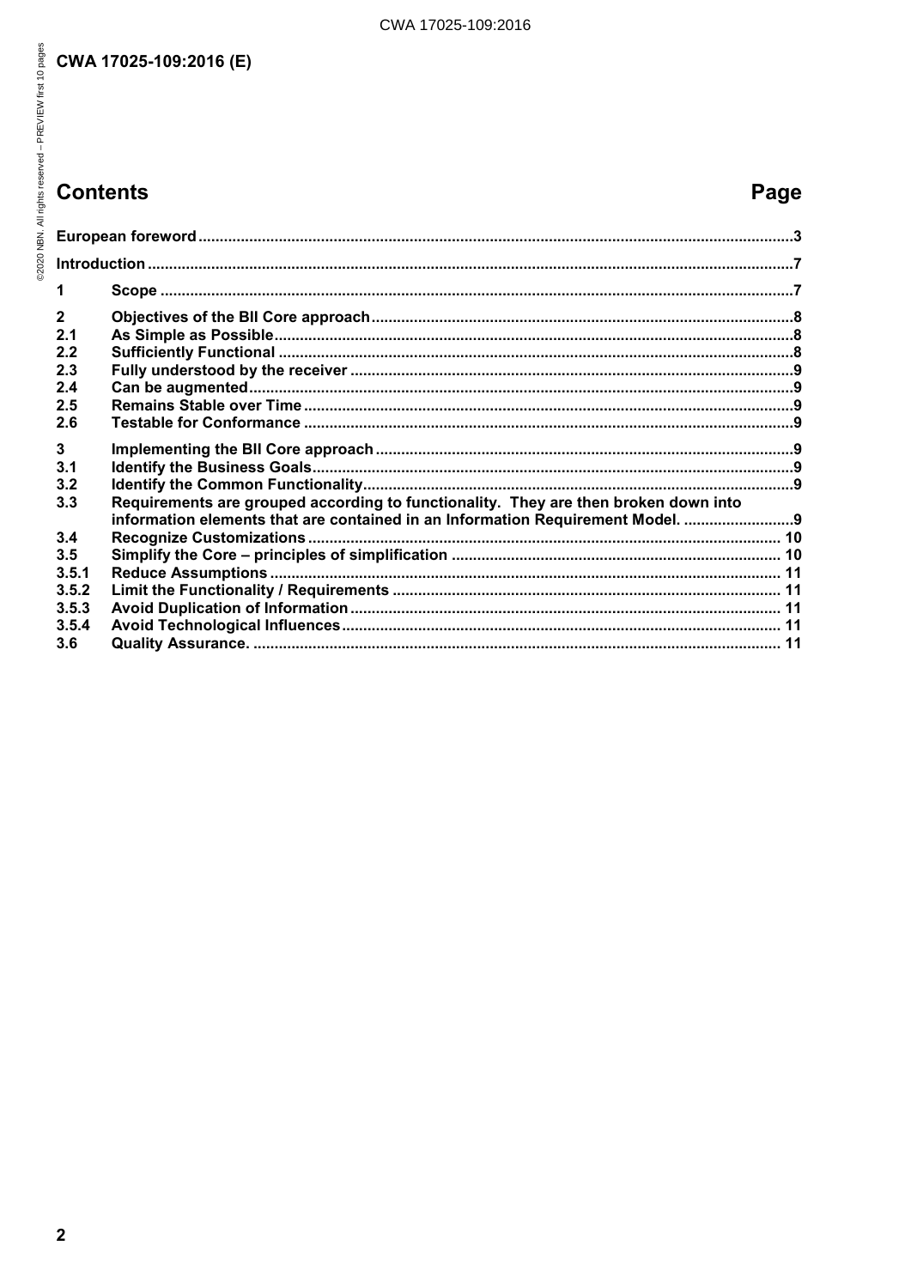## CWA 17025-109:2016 (E)

# **Contents**

# Page

| 1                       |                                                                                                                                                                       |  |
|-------------------------|-----------------------------------------------------------------------------------------------------------------------------------------------------------------------|--|
| $\overline{\mathbf{2}}$ |                                                                                                                                                                       |  |
| 2.1                     |                                                                                                                                                                       |  |
| 2.2                     |                                                                                                                                                                       |  |
| 2.3                     |                                                                                                                                                                       |  |
| 2.4                     |                                                                                                                                                                       |  |
| 2.5                     |                                                                                                                                                                       |  |
| 2.6                     |                                                                                                                                                                       |  |
| $\mathbf{3}$            |                                                                                                                                                                       |  |
| 3.1                     |                                                                                                                                                                       |  |
| 3.2                     |                                                                                                                                                                       |  |
| 3.3                     | Requirements are grouped according to functionality. They are then broken down into<br>information elements that are contained in an Information Requirement Model. 9 |  |
| 3.4                     |                                                                                                                                                                       |  |
| 3.5                     |                                                                                                                                                                       |  |
| 3.5.1                   |                                                                                                                                                                       |  |
| 3.5.2                   |                                                                                                                                                                       |  |
| 3.5.3                   |                                                                                                                                                                       |  |
| 3.5.4                   |                                                                                                                                                                       |  |
| 3.6                     |                                                                                                                                                                       |  |

CWA 17025-109:2016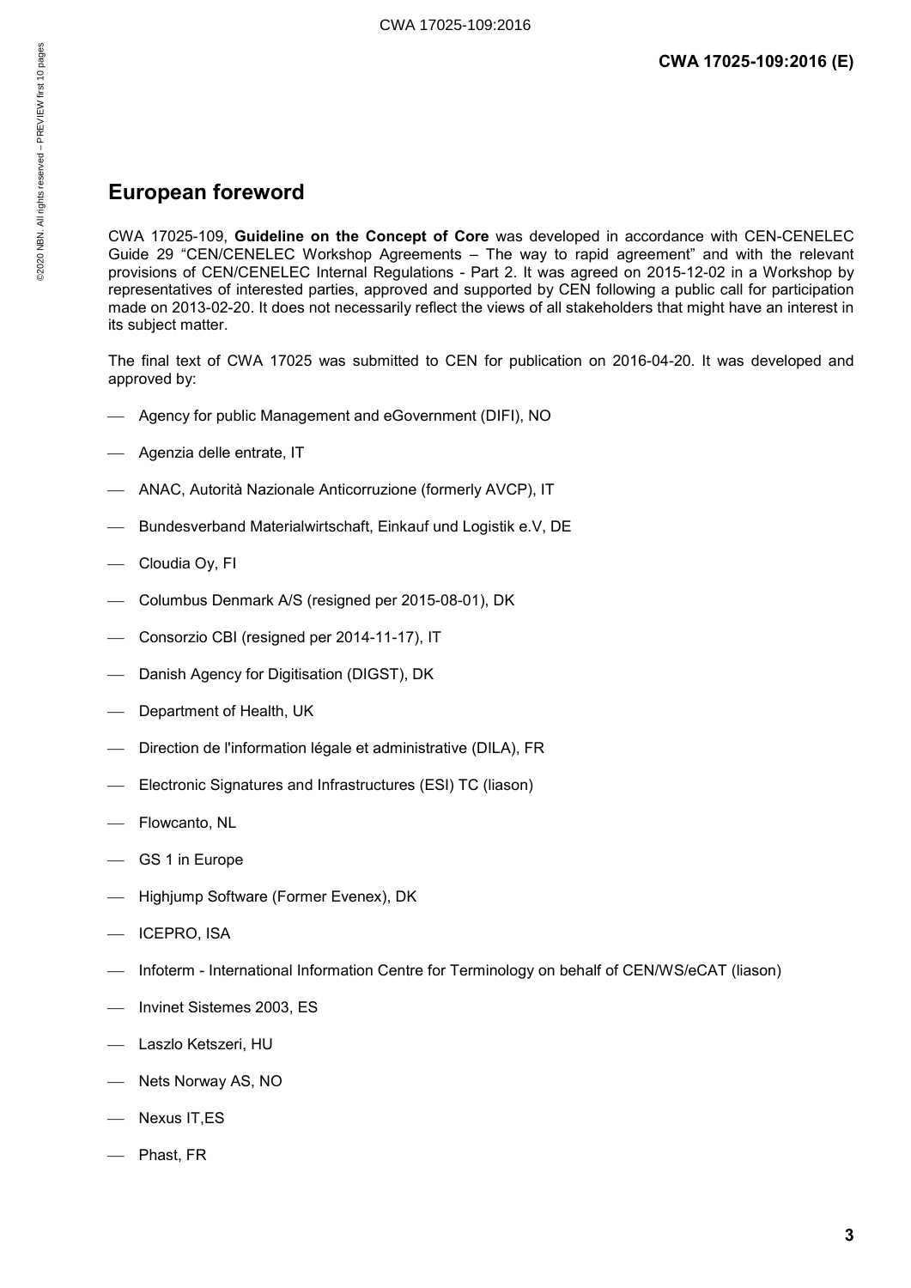## **European foreword**

CWA 17025-109, **Guideline on the Concept of Core** was developed in accordance with CEN-CENELEC Guide 29 "CEN/CENELEC Workshop Agreements – The way to rapid agreement" and with the relevant provisions of CEN/CENELEC Internal Regulations - Part 2. It was agreed on 2015-12-02 in a Workshop by representatives of interested parties, approved and supported by CEN following a public call for participation made on 2013-02-20. It does not necessarily reflect the views of all stakeholders that might have an interest in its subject matter.

The final text of CWA 17025 was submitted to CEN for publication on 2016-04-20. It was developed and approved by:

- Agency for public Management and eGovernment (DIFI), NO
- Agenzia delle entrate, IT
- ANAC, Autorità Nazionale Anticorruzione (formerly AVCP), IT
- Bundesverband Materialwirtschaft, Einkauf und Logistik e.V, DE
- Cloudia Oy, FI
- Columbus Denmark A/S (resigned per 2015-08-01), DK
- Consorzio CBI (resigned per 2014-11-17), IT
- Danish Agency for Digitisation (DIGST), DK
- Department of Health, UK
- Direction de l'information légale et administrative (DILA), FR
- Electronic Signatures and Infrastructures (ESI) TC (liason)
- Flowcanto, NL
- GS 1 in Europe
- Highiump Software (Former Evenex), DK
- $-$  ICEPRO, ISA
- Infoterm International Information Centre for Terminology on behalf of CEN/WS/eCAT (liason)
- Invinet Sistemes 2003, ES
- Laszlo Ketszeri, HU
- Nets Norway AS, NO
- Nexus IT, ES
- Phast, FR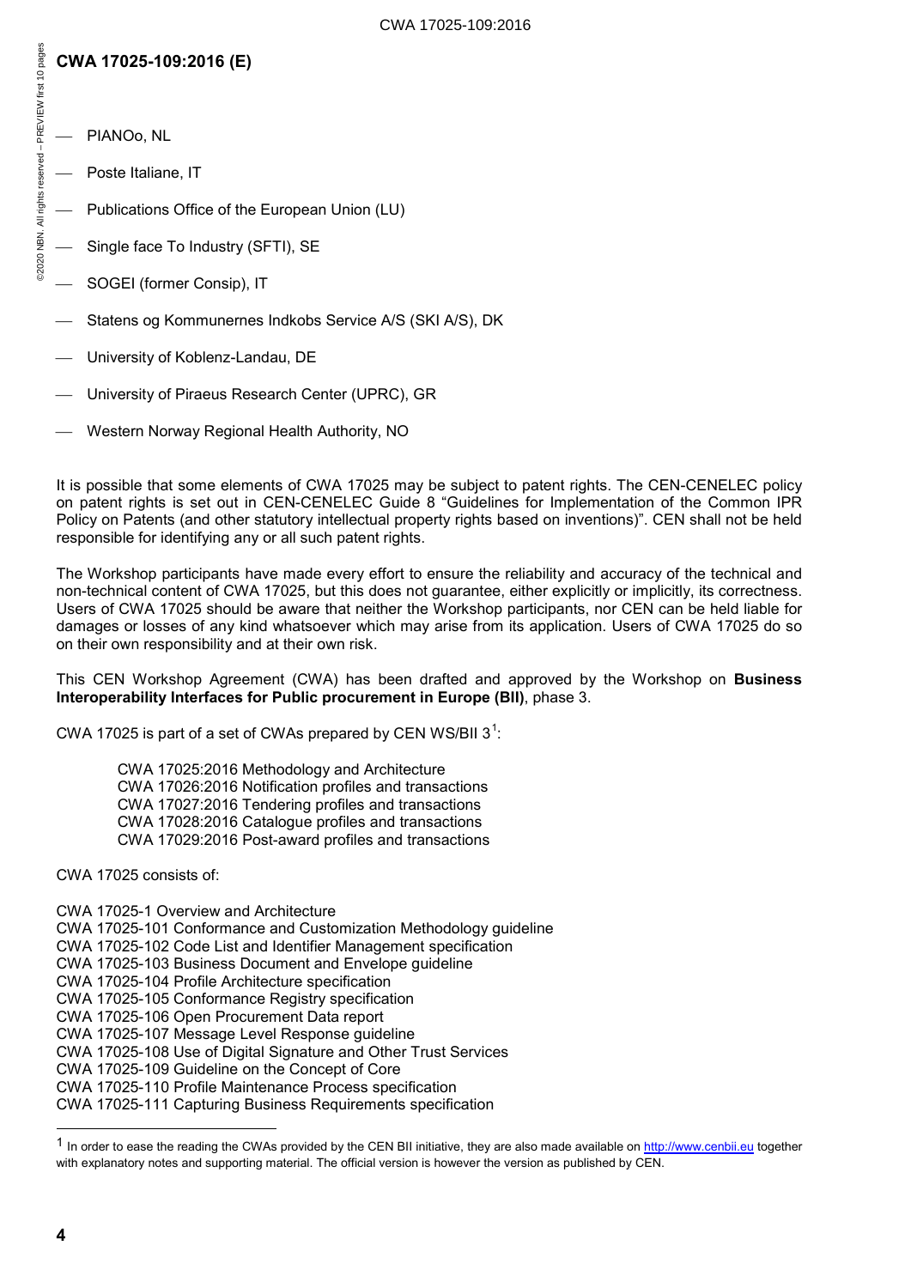#### **CWA 17025-109:2016 (E)**

- PIANOo, NL Poste Italiane, IT
	- Publications Office of the European Union (LU)
	- Single face To Industry (SFTI), SE
	- SOGEI (former Consip), IT
	- Statens og Kommunernes Indkobs Service A/S (SKI A/S), DK
	- University of Koblenz-Landau, DE
	- University of Piraeus Research Center (UPRC), GR
	- Western Norway Regional Health Authority, NO

It is possible that some elements of CWA 17025 may be subject to patent rights. The CEN-CENELEC policy on patent rights is set out in CEN-CENELEC Guide 8 "Guidelines for Implementation of the Common IPR Policy on Patents (and other statutory intellectual property rights based on inventions)". CEN shall not be held responsible for identifying any or all such patent rights.

The Workshop participants have made every effort to ensure the reliability and accuracy of the technical and non-technical content of CWA 17025, but this does not guarantee, either explicitly or implicitly, its correctness. Users of CWA 17025 should be aware that neither the Workshop participants, nor CEN can be held liable for damages or losses of any kind whatsoever which may arise from its application. Users of CWA 17025 do so on their own responsibility and at their own risk.

This CEN Workshop Agreement (CWA) has been drafted and approved by the Workshop on **Business Interoperability Interfaces for Public procurement in Europe (BII)**, phase 3.

CWA [1](#page--1-18)7025 is part of a set of CWAs prepared by CEN WS/BII 3 $^1\!$ :

CWA 17025:2016 Methodology and Architecture CWA 17026:2016 Notification profiles and transactions CWA 17027:2016 Tendering profiles and transactions CWA 17028:2016 Catalogue profiles and transactions CWA 17029:2016 Post-award profiles and transactions

CWA 17025 consists of:

CWA 17025-1 Overview and Architecture CWA 17025-101 Conformance and Customization Methodology guideline CWA 17025-102 Code List and Identifier Management specification CWA 17025-103 Business Document and Envelope guideline CWA 17025-104 Profile Architecture specification CWA 17025-105 Conformance Registry specification CWA 17025-106 Open Procurement Data report CWA 17025-107 Message Level Response guideline CWA 17025-108 Use of Digital Signature and Other Trust Services CWA 17025-109 Guideline on the Concept of Core CWA 17025-110 Profile Maintenance Process specification CWA 17025-111 Capturing Business Requirements specification

 $1$  In order to ease the reading the CWAs provided by the CEN BII initiative, they are also made available on [http://www.cenbii.eu](http://www.cenbii.eu/) together with explanatory notes and supporting material. The official version is however the version as published by CEN.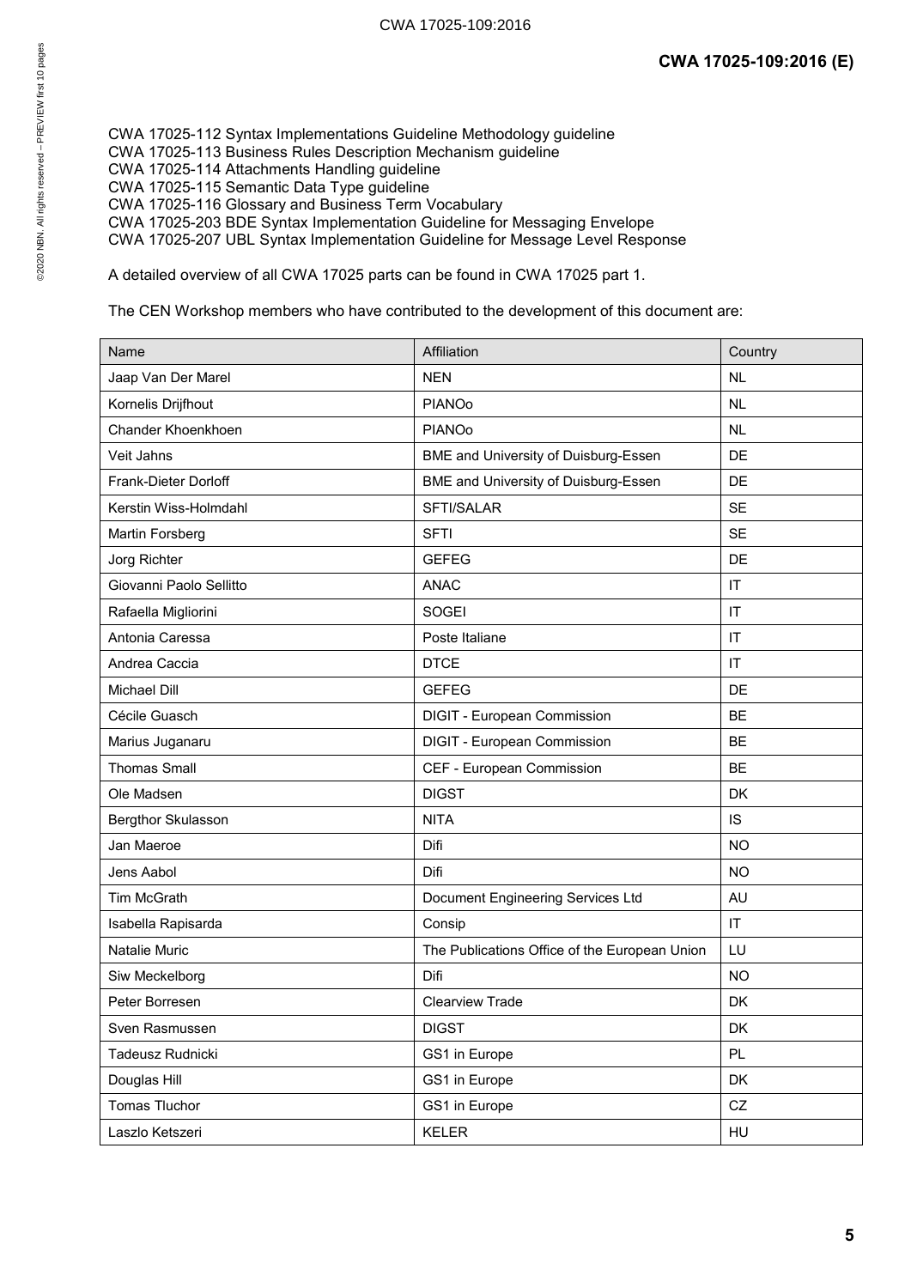CWA 17025-112 Syntax Implementations Guideline Methodology guideline CWA 17025-113 Business Rules Description Mechanism guideline CWA 17025-114 Attachments Handling guideline CWA 17025-115 Semantic Data Type guideline CWA 17025-116 Glossary and Business Term Vocabulary CWA 17025-203 BDE Syntax Implementation Guideline for Messaging Envelope CWA 17025-207 UBL Syntax Implementation Guideline for Message Level Response

A detailed overview of all CWA 17025 parts can be found in CWA 17025 part 1.

The CEN Workshop members who have contributed to the development of this document are:

| Name                    | Affiliation                                   | Country                |
|-------------------------|-----------------------------------------------|------------------------|
| Jaap Van Der Marel      | <b>NEN</b>                                    | <b>NL</b>              |
| Kornelis Drijfhout      | <b>PIANOo</b>                                 | <b>NL</b>              |
| Chander Khoenkhoen      | <b>PIANOo</b>                                 | <b>NL</b>              |
| Veit Jahns              | BME and University of Duisburg-Essen          | DE                     |
| Frank-Dieter Dorloff    | BME and University of Duisburg-Essen          | DE                     |
| Kerstin Wiss-Holmdahl   | SFTI/SALAR                                    | <b>SE</b>              |
| Martin Forsberg         | <b>SFTI</b>                                   | <b>SE</b>              |
| Jorg Richter            | <b>GEFEG</b>                                  | DE                     |
| Giovanni Paolo Sellitto | <b>ANAC</b>                                   | $\mathsf{I}\mathsf{T}$ |
| Rafaella Migliorini     | <b>SOGEI</b>                                  | IT                     |
| Antonia Caressa         | Poste Italiane                                | IT                     |
| Andrea Caccia           | <b>DTCE</b>                                   | $\mathsf{I}\mathsf{T}$ |
| Michael Dill            | <b>GEFEG</b>                                  | <b>DE</b>              |
| Cécile Guasch           | DIGIT - European Commission                   | <b>BE</b>              |
| Marius Juganaru         | DIGIT - European Commission                   | <b>BE</b>              |
| <b>Thomas Small</b>     | CEF - European Commission                     | <b>BE</b>              |
| Ole Madsen              | <b>DIGST</b>                                  | DK                     |
| Bergthor Skulasson      | <b>NITA</b>                                   | <b>IS</b>              |
| Jan Maeroe              | Difi                                          | <b>NO</b>              |
| Jens Aabol              | Difi                                          | <b>NO</b>              |
| Tim McGrath             | Document Engineering Services Ltd             | <b>AU</b>              |
| Isabella Rapisarda      | Consip                                        | IT                     |
| Natalie Muric           | The Publications Office of the European Union | LU                     |
| Siw Meckelborg          | Difi                                          | <b>NO</b>              |
| Peter Borresen          | <b>Clearview Trade</b>                        | <b>DK</b>              |
| Sven Rasmussen          | <b>DIGST</b>                                  | DK                     |
| Tadeusz Rudnicki        | GS1 in Europe                                 | <b>PL</b>              |
| Douglas Hill            | GS1 in Europe                                 | DK                     |
| Tomas Tluchor           | GS1 in Europe                                 | CZ                     |
| Laszlo Ketszeri         | <b>KELER</b>                                  | HU                     |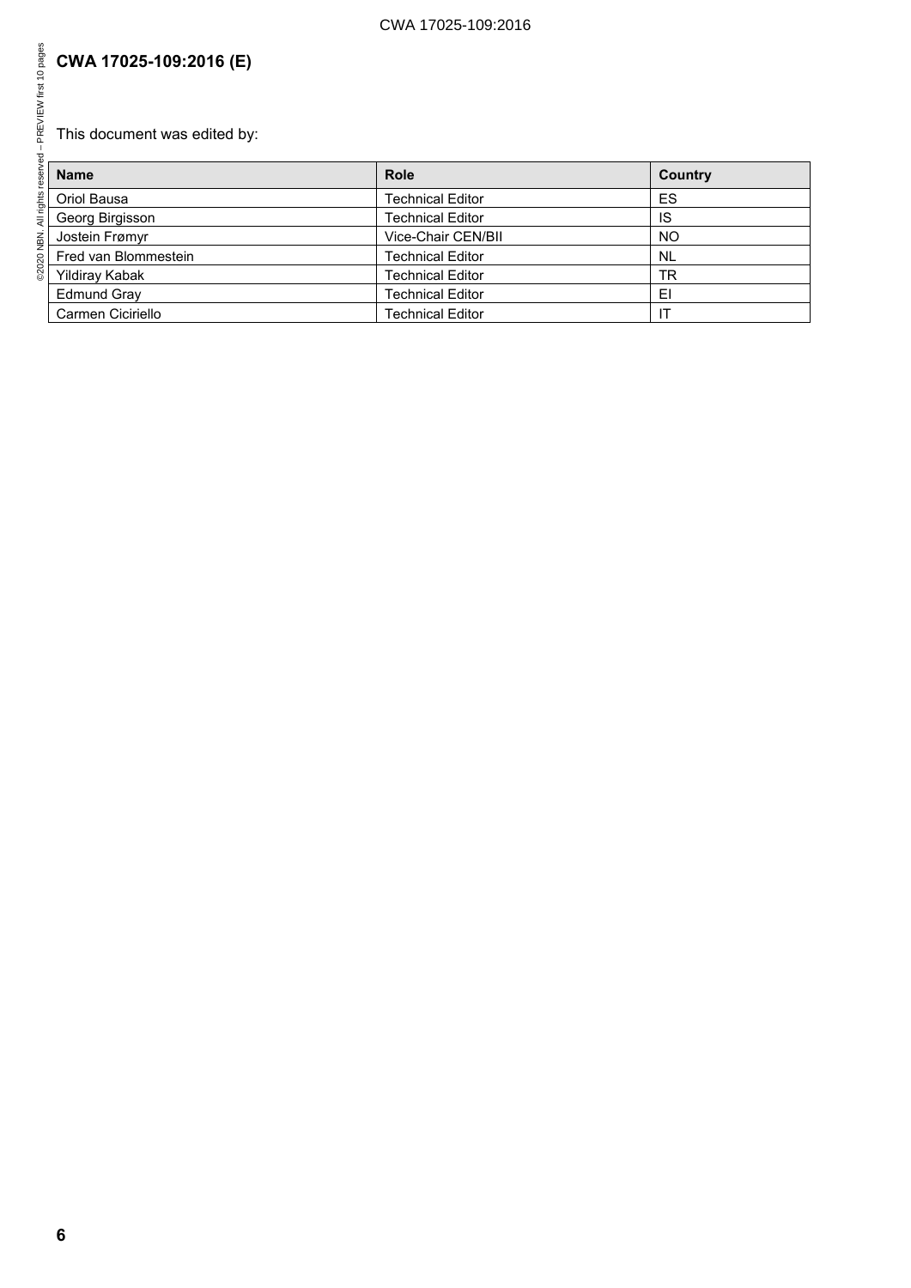#### CWA 17025-109:2016

## **CWA 17025-109:2016 (E)**

This document was edited by:

| <b>Name</b>           | <b>Role</b>             | Country   |
|-----------------------|-------------------------|-----------|
| Oriol Bausa           | Technical Editor        | ES        |
| Georg Birgisson       | Technical Editor        | IS        |
| Jostein Frømyr        | Vice-Chair CEN/BII      | <b>NO</b> |
| Fred van Blommestein  | <b>Technical Editor</b> | <b>NL</b> |
| <b>Yildiray Kabak</b> | Technical Editor        | <b>TR</b> |
| Edmund Gray           | Technical Editor        | EI        |
| Carmen Ciciriello     | <b>Technical Editor</b> |           |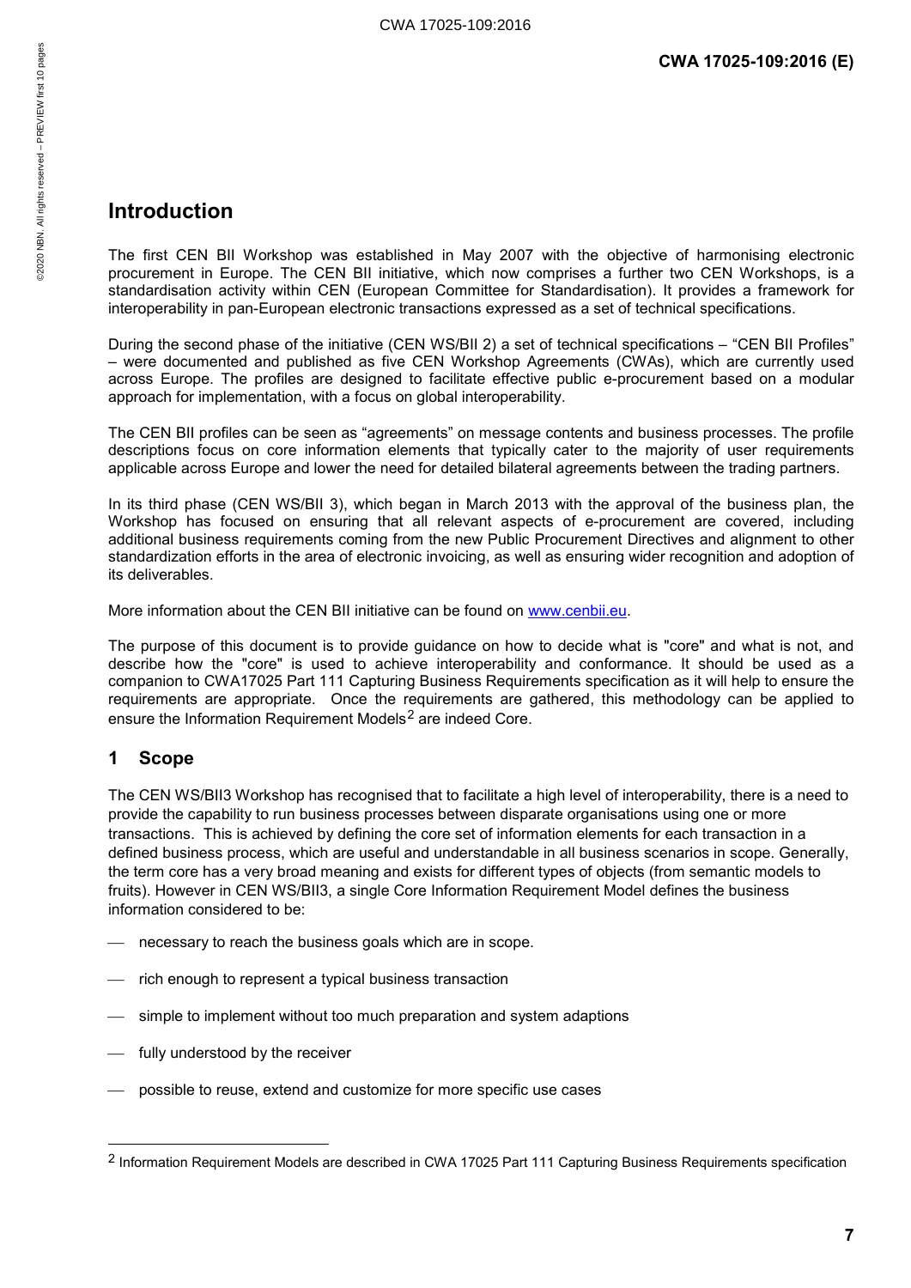#### **Introduction**

The first CEN BII Workshop was established in May 2007 with the objective of harmonising electronic procurement in Europe. The CEN BII initiative, which now comprises a further two CEN Workshops, is a standardisation activity within CEN (European Committee for Standardisation). It provides a framework for interoperability in pan-European electronic transactions expressed as a set of technical specifications.

During the second phase of the initiative (CEN WS/BII 2) a set of technical specifications – "CEN BII Profiles" – were documented and published as five CEN Workshop Agreements (CWAs), which are currently used across Europe. The profiles are designed to facilitate effective public e-procurement based on a modular approach for implementation, with a focus on global interoperability.

The CEN BII profiles can be seen as "agreements" on message contents and business processes. The profile descriptions focus on core information elements that typically cater to the majority of user requirements applicable across Europe and lower the need for detailed bilateral agreements between the trading partners.

In its third phase (CEN WS/BII 3), which began in March 2013 with the approval of the business plan, the Workshop has focused on ensuring that all relevant aspects of e-procurement are covered, including additional business requirements coming from the new Public Procurement Directives and alignment to other standardization efforts in the area of electronic invoicing, as well as ensuring wider recognition and adoption of its deliverables.

More information about the CEN BII initiative can be found on [www.cenbii.eu.](http://www.cenbii.eu/)

The purpose of this document is to provide guidance on how to decide what is "core" and what is not, and describe how the "core" is used to achieve interoperability and conformance. It should be used as a companion to CWA17025 Part 111 Capturing Business Requirements specification as it will help to ensure the requirements are appropriate. Once the requirements are gathered, this methodology can be applied to ensure the Information Requirement Models<sup>[2](#page--1-19)</sup> are indeed Core.

#### **1 Scope**

The CEN WS/BII3 Workshop has recognised that to facilitate a high level of interoperability, there is a need to provide the capability to run business processes between disparate organisations using one or more transactions. This is achieved by defining the core set of information elements for each transaction in a defined business process, which are useful and understandable in all business scenarios in scope. Generally, the term core has a very broad meaning and exists for different types of objects (from semantic models to fruits). However in CEN WS/BII3, a single Core Information Requirement Model defines the business information considered to be:

- necessary to reach the business goals which are in scope.
- rich enough to represent a typical business transaction
- simple to implement without too much preparation and system adaptions
- fully understood by the receiver
- possible to reuse, extend and customize for more specific use cases

 <sup>2</sup> Information Requirement Models are described in CWA 17025 Part 111 Capturing Business Requirements specification